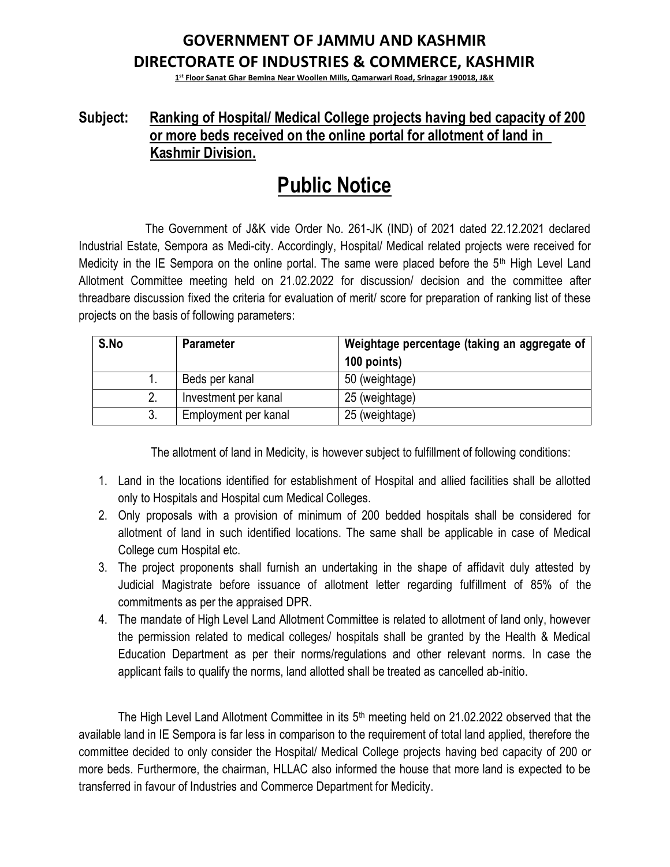## **GOVERNMENT OF JAMMU AND KASHMIR DIRECTORATE OF INDUSTRIES & COMMERCE, KASHMIR**

**1 st Floor Sanat Ghar Bemina Near Woollen Mills, Qamarwari Road, Srinagar 190018, J&K**

## **Subject: Ranking of Hospital/ Medical College projects having bed capacity of 200 or more beds received on the online portal for allotment of land in Kashmir Division.**

## **Public Notice**

 The Government of J&K vide Order No. 261-JK (IND) of 2021 dated 22.12.2021 declared Industrial Estate, Sempora as Medi-city. Accordingly, Hospital/ Medical related projects were received for Medicity in the IE Sempora on the online portal. The same were placed before the 5th High Level Land Allotment Committee meeting held on 21.02.2022 for discussion/ decision and the committee after threadbare discussion fixed the criteria for evaluation of merit/ score for preparation of ranking list of these projects on the basis of following parameters:

| S.No | <b>Parameter</b>     | Weightage percentage (taking an aggregate of<br>100 points) |  |  |  |  |  |  |  |
|------|----------------------|-------------------------------------------------------------|--|--|--|--|--|--|--|
|      | Beds per kanal       | 50 (weightage)                                              |  |  |  |  |  |  |  |
|      | Investment per kanal | 25 (weightage)                                              |  |  |  |  |  |  |  |
|      | Employment per kanal | 25 (weightage)                                              |  |  |  |  |  |  |  |

The allotment of land in Medicity, is however subject to fulfillment of following conditions:

- 1. Land in the locations identified for establishment of Hospital and allied facilities shall be allotted only to Hospitals and Hospital cum Medical Colleges.
- 2. Only proposals with a provision of minimum of 200 bedded hospitals shall be considered for allotment of land in such identified locations. The same shall be applicable in case of Medical College cum Hospital etc.
- 3. The project proponents shall furnish an undertaking in the shape of affidavit duly attested by Judicial Magistrate before issuance of allotment letter regarding fulfillment of 85% of the commitments as per the appraised DPR.
- 4. The mandate of High Level Land Allotment Committee is related to allotment of land only, however the permission related to medical colleges/ hospitals shall be granted by the Health & Medical Education Department as per their norms/regulations and other relevant norms. In case the applicant fails to qualify the norms, land allotted shall be treated as cancelled ab-initio.

The High Level Land Allotment Committee in its  $5<sup>th</sup>$  meeting held on 21.02.2022 observed that the available land in IE Sempora is far less in comparison to the requirement of total land applied, therefore the committee decided to only consider the Hospital/ Medical College projects having bed capacity of 200 or more beds. Furthermore, the chairman, HLLAC also informed the house that more land is expected to be transferred in favour of Industries and Commerce Department for Medicity.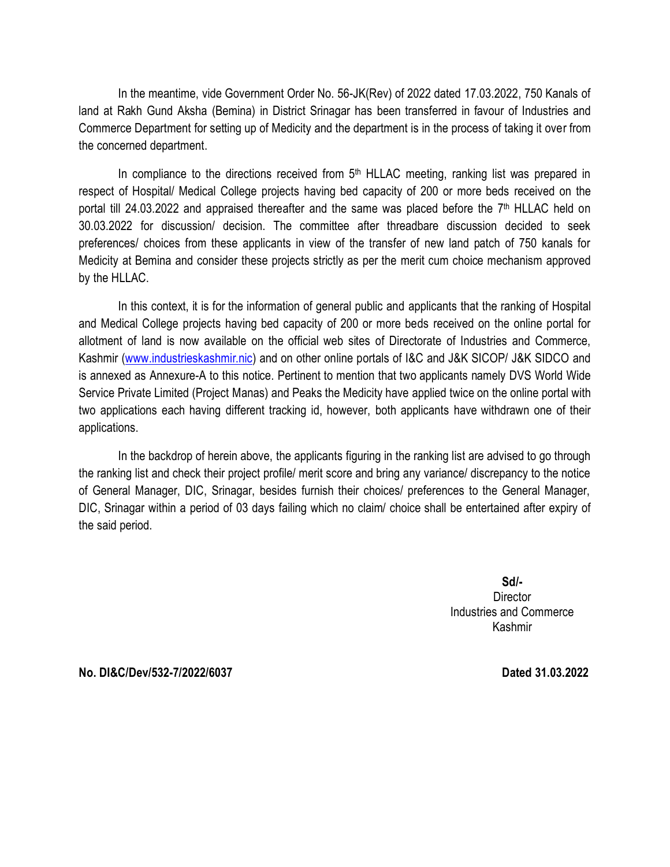In the meantime, vide Government Order No. 56-JK(Rev) of 2022 dated 17.03.2022, 750 Kanals of land at Rakh Gund Aksha (Bemina) in District Srinagar has been transferred in favour of Industries and Commerce Department for setting up of Medicity and the department is in the process of taking it over from the concerned department.

In compliance to the directions received from  $5<sup>th</sup>$  HLLAC meeting, ranking list was prepared in respect of Hospital/ Medical College projects having bed capacity of 200 or more beds received on the portal till 24.03.2022 and appraised thereafter and the same was placed before the 7<sup>th</sup> HLLAC held on 30.03.2022 for discussion/ decision. The committee after threadbare discussion decided to seek preferences/ choices from these applicants in view of the transfer of new land patch of 750 kanals for Medicity at Bemina and consider these projects strictly as per the merit cum choice mechanism approved by the HLLAC.

In this context, it is for the information of general public and applicants that the ranking of Hospital and Medical College projects having bed capacity of 200 or more beds received on the online portal for allotment of land is now available on the official web sites of Directorate of Industries and Commerce, Kashmir [\(www.industrieskashmir.nic\)](http://www.industrieskashmir.nic/) and on other online portals of I&C and J&K SICOP/ J&K SIDCO and is annexed as Annexure-A to this notice. Pertinent to mention that two applicants namely DVS World Wide Service Private Limited (Project Manas) and Peaks the Medicity have applied twice on the online portal with two applications each having different tracking id, however, both applicants have withdrawn one of their applications.

In the backdrop of herein above, the applicants figuring in the ranking list are advised to go through the ranking list and check their project profile/ merit score and bring any variance/ discrepancy to the notice of General Manager, DIC, Srinagar, besides furnish their choices/ preferences to the General Manager, DIC, Srinagar within a period of 03 days failing which no claim/ choice shall be entertained after expiry of the said period.

> **Sd/- Director** Industries and Commerce Kashmir

**No. DI&C/Dev/532-7/2022/6037 Dated 31.03.2022**